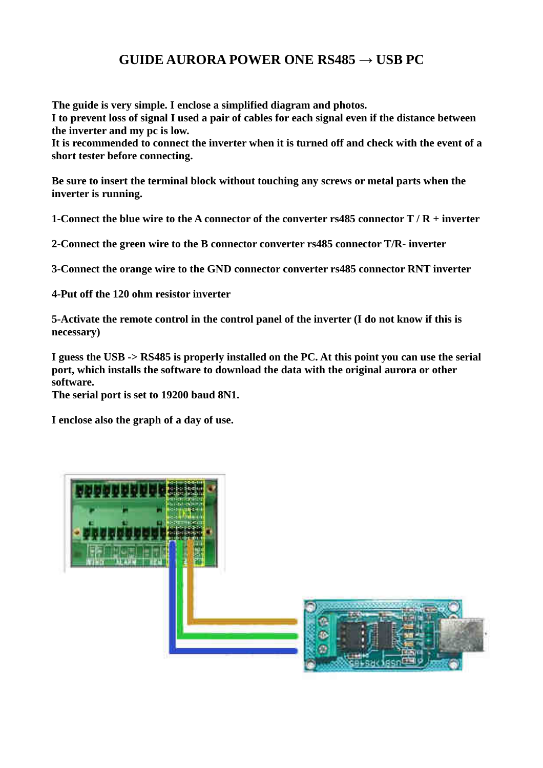## **GUIDE AURORA POWER ONE RS485 → USB PC**

**The guide is very simple. I enclose a simplified diagram and photos.** 

**I to prevent loss of signal I used a pair of cables for each signal even if the distance between the inverter and my pc is low.** 

**It is recommended to connect the inverter when it is turned off and check with the event of a short tester before connecting.** 

**Be sure to insert the terminal block without touching any screws or metal parts when the inverter is running.** 

**1-Connect the blue wire to the A connector of the converter rs485 connector T / R + inverter** 

**2-Connect the green wire to the B connector converter rs485 connector T/R- inverter** 

**3-Connect the orange wire to the GND connector converter rs485 connector RNT inverter** 

**4-Put off the 120 ohm resistor inverter** 

**5-Activate the remote control in the control panel of the inverter (I do not know if this is necessary)** 

**I guess the USB -> RS485 is properly installed on the PC. At this point you can use the serial port, which installs the software to download the data with the original aurora or other software.** 

**The serial port is set to 19200 baud 8N1.** 

**I enclose also the graph of a day of use.** 

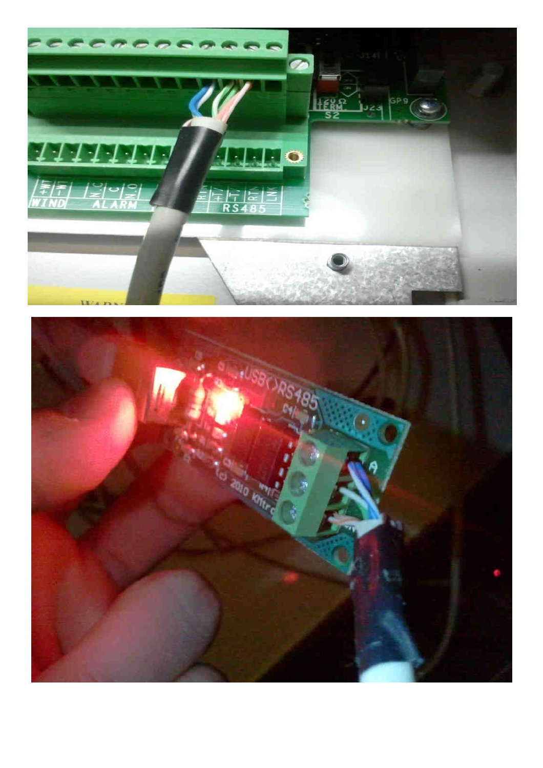

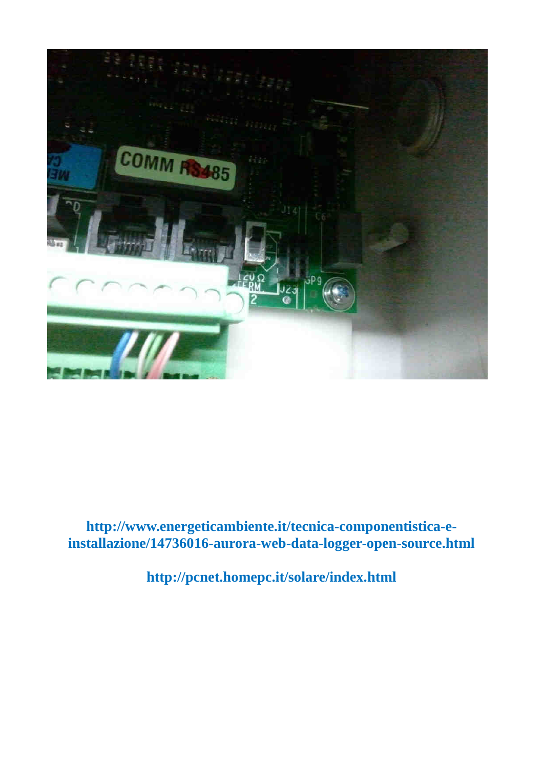

## **http://www.energeticambiente.it/tecnica-componentistica-einstallazione/14736016-aurora-web-data-logger-open-source.html**

**http://pcnet.homepc.it/solare/index.html**